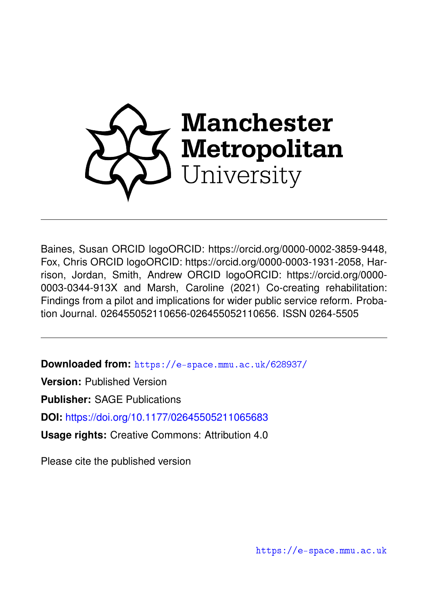

Baines, Susan ORCID logoORCID: https://orcid.org/0000-0002-3859-9448, Fox, Chris ORCID logoORCID: https://orcid.org/0000-0003-1931-2058, Harrison, Jordan, Smith, Andrew ORCID logoORCID: https://orcid.org/0000- 0003-0344-913X and Marsh, Caroline (2021) Co-creating rehabilitation: Findings from a pilot and implications for wider public service reform. Probation Journal. 026455052110656-026455052110656. ISSN 0264-5505

**Downloaded from:** <https://e-space.mmu.ac.uk/628937/>

**Version:** Published Version

**Publisher:** SAGE Publications

**DOI:** <https://doi.org/10.1177/02645505211065683>

**Usage rights:** Creative Commons: Attribution 4.0

Please cite the published version

<https://e-space.mmu.ac.uk>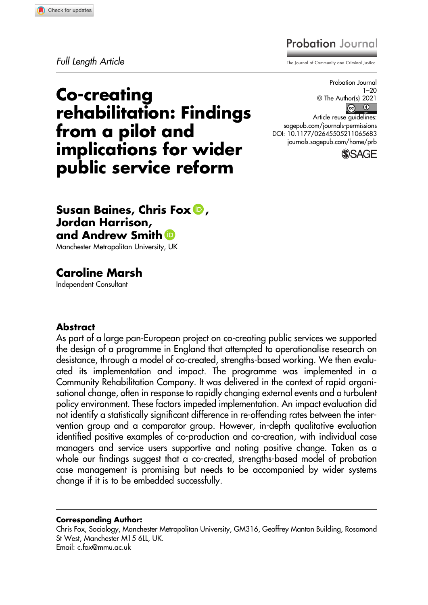#### Check for updates

# **Probation** Journal

Full Length Article The Journal of Community and Criminal Justice

Co-creating rehabilitation: Findings from a pilot and implications for wider public service reform

Probation Journal 1–20 © The Author(s) 2021  $\odot$   $\odot$ 

Article reuse guidelines: sagepub.com/journals-permissions DOI: 10.1177/02645505211065683 journals.sagepub.com/home/prb



## Susan Baines, Chris Fox **D**, Jordan Harrison, and Andrew Smith **D**

Manchester Metropolitan University, UK

# Caroline Marsh

Independent Consultant

#### Abstract

As part of a large pan-European project on co-creating public services we supported the design of a programme in England that attempted to operationalise research on desistance, through a model of co-created, strengths-based working. We then evaluated its implementation and impact. The programme was implemented in a Community Rehabilitation Company. It was delivered in the context of rapid organisational change, often in response to rapidly changing external events and a turbulent policy environment. These factors impeded implementation. An impact evaluation did not identify a statistically significant difference in re-offending rates between the intervention group and a comparator group. However, in-depth qualitative evaluation identified positive examples of co-production and co-creation, with individual case managers and service users supportive and noting positive change. Taken as a whole our findings suggest that a co-created, strengths-based model of probation case management is promising but needs to be accompanied by wider systems change if it is to be embedded successfully.

#### Corresponding Author:

Chris Fox, Sociology, Manchester Metropolitan University, GM316, Geoffrey Manton Building, Rosamond St West, Manchester M15 6LL, UK. Email: c.fox@mmu.ac.uk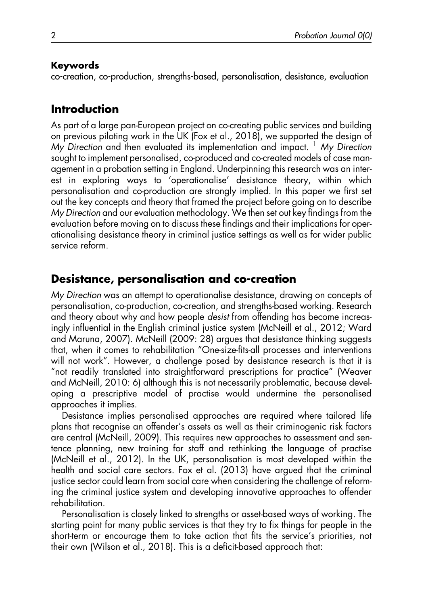#### Keywords

co-creation, co-production, strengths-based, personalisation, desistance, evaluation

# Introduction

As part of a large pan-European project on co-creating public services and building on previous piloting work in the UK (Fox et al., 2018), we supported the design of My Direction and then evaluated its implementation and impact.  $<sup>1</sup>$  My Direction</sup> sought to implement personalised, co-produced and co-created models of case management in a probation setting in England. Underpinning this research was an interest in exploring ways to 'operationalise' desistance theory, within which personalisation and co-production are strongly implied. In this paper we first set out the key concepts and theory that framed the project before going on to describe My Direction and our evaluation methodology. We then set out key findings from the evaluation before moving on to discuss these findings and their implications for operationalising desistance theory in criminal justice settings as well as for wider public service reform.

# Desistance, personalisation and co-creation

My Direction was an attempt to operationalise desistance, drawing on concepts of personalisation, co-production, co-creation, and strengths-based working. Research and theory about why and how people desist from offending has become increasingly influential in the English criminal justice system (McNeill et al., 2012; Ward and Maruna, 2007). McNeill (2009: 28) argues that desistance thinking suggests that, when it comes to rehabilitation "One-size-fits-all processes and interventions will not work". However, a challenge posed by desistance research is that it is "not readily translated into straightforward prescriptions for practice" (Weaver and McNeill, 2010: 6) although this is not necessarily problematic, because developing a prescriptive model of practise would undermine the personalised approaches it implies.

Desistance implies personalised approaches are required where tailored life plans that recognise an offender's assets as well as their criminogenic risk factors are central (McNeill, 2009). This requires new approaches to assessment and sentence planning, new training for staff and rethinking the language of practise (McNeill et al., 2012). In the UK, personalisation is most developed within the health and social care sectors. Fox et al. (2013) have argued that the criminal justice sector could learn from social care when considering the challenge of reforming the criminal justice system and developing innovative approaches to offender rehabilitation.

Personalisation is closely linked to strengths or asset-based ways of working. The starting point for many public services is that they try to fix things for people in the short-term or encourage them to take action that fits the service's priorities, not their own (Wilson et al., 2018). This is a deficit-based approach that: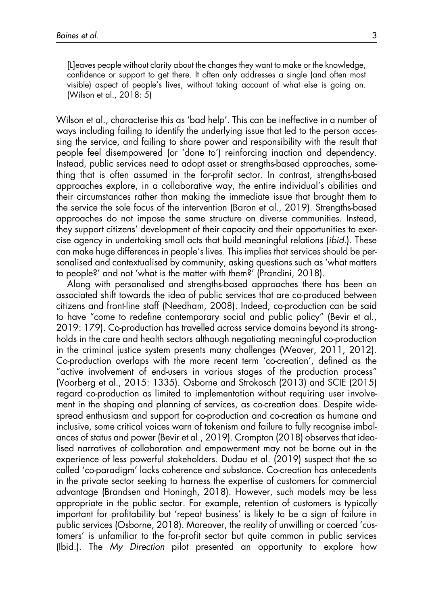[L]eaves people without clarity about the changes they want to make or the knowledge, confidence or support to get there. It often only addresses a single (and often most visible) aspect of people's lives, without taking account of what else is going on. (Wilson et al., 2018: 5)

Wilson et al., characterise this as 'bad help'. This can be ineffective in a number of ways including failing to identify the underlying issue that led to the person accessing the service, and failing to share power and responsibility with the result that people feel disempowered (or 'done to') reinforcing inaction and dependency. Instead, public services need to adopt asset or strengths-based approaches, something that is often assumed in the for-profit sector. In contrast, strengths-based approaches explore, in a collaborative way, the entire individual's abilities and their circumstances rather than making the immediate issue that brought them to the service the sole focus of the intervention (Baron et al., 2019). Strengths-based approaches do not impose the same structure on diverse communities. Instead, they support citizens' development of their capacity and their opportunities to exercise agency in undertaking small acts that build meaningful relations (ibid.). These can make huge differences in people's lives. This implies that services should be personalised and contextualised by community, asking questions such as 'what matters to people?' and not 'what is the matter with them?' (Prandini, 2018).

Along with personalised and strengths-based approaches there has been an associated shift towards the idea of public services that are co-produced between citizens and front-line staff (Needham, 2008). Indeed, co-production can be said to have "come to redefine contemporary social and public policy" (Bevir et al., 2019: 179). Co-production has travelled across service domains beyond its strongholds in the care and health sectors although negotiating meaningful co-production in the criminal justice system presents many challenges (Weaver, 2011, 2012). Co-production overlaps with the more recent term 'co-creation', defined as the "active involvement of end-users in various stages of the production process" (Voorberg et al., 2015: 1335). Osborne and Strokosch (2013) and SCIE (2015) regard co-production as limited to implementation without requiring user involvement in the shaping and planning of services, as co-creation does. Despite widespread enthusiasm and support for co-production and co-creation as humane and inclusive, some critical voices warn of tokenism and failure to fully recognise imbalances of status and power (Bevir et al., 2019). Crompton (2018) observes that idealised narratives of collaboration and empowerment may not be borne out in the experience of less powerful stakeholders. Dudau et al. (2019) suspect that the so called 'co-paradigm' lacks coherence and substance. Co-creation has antecedents in the private sector seeking to harness the expertise of customers for commercial advantage (Brandsen and Honingh, 2018). However, such models may be less appropriate in the public sector. For example, retention of customers is typically important for profitability but 'repeat business' is likely to be a sign of failure in public services (Osborne, 2018). Moreover, the reality of unwilling or coerced 'customers' is unfamiliar to the for-profit sector but quite common in public services (Ibid.). The My Direction pilot presented an opportunity to explore how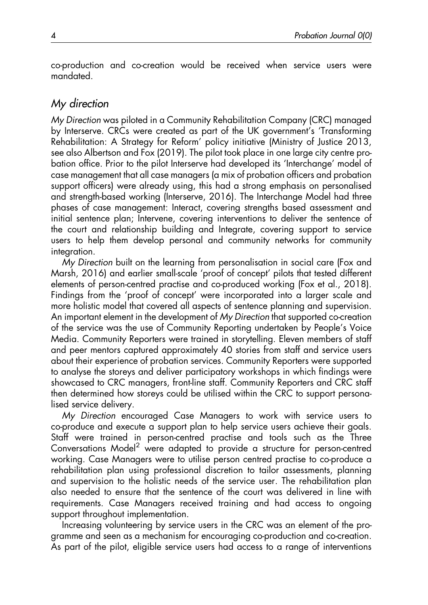co-production and co-creation would be received when service users were mandated.

### My direction

My Direction was piloted in a Community Rehabilitation Company (CRC) managed by Interserve. CRCs were created as part of the UK government's 'Transforming Rehabilitation: A Strategy for Reform' policy initiative (Ministry of Justice 2013, see also Albertson and Fox (2019). The pilot took place in one large city centre probation office. Prior to the pilot Interserve had developed its 'Interchange' model of case management that all case managers (a mix of probation officers and probation support officers) were already using, this had a strong emphasis on personalised and strength-based working (Interserve, 2016). The Interchange Model had three phases of case management: Interact, covering strengths based assessment and initial sentence plan; Intervene, covering interventions to deliver the sentence of the court and relationship building and Integrate, covering support to service users to help them develop personal and community networks for community integration.

My Direction built on the learning from personalisation in social care (Fox and Marsh, 2016) and earlier small-scale 'proof of concept' pilots that tested different elements of person-centred practise and co-produced working (Fox et al., 2018). Findings from the 'proof of concept' were incorporated into a larger scale and more holistic model that covered all aspects of sentence planning and supervision. An important element in the development of My Direction that supported co-creation of the service was the use of Community Reporting undertaken by People's Voice Media. Community Reporters were trained in storytelling. Eleven members of staff and peer mentors captured approximately 40 stories from staff and service users about their experience of probation services. Community Reporters were supported to analyse the storeys and deliver participatory workshops in which findings were showcased to CRC managers, front-line staff. Community Reporters and CRC staff then determined how storeys could be utilised within the CRC to support personalised service delivery.

My Direction encouraged Case Managers to work with service users to co-produce and execute a support plan to help service users achieve their goals. Staff were trained in person-centred practise and tools such as the Three Conversations Model<sup>2</sup> were adapted to provide a structure for person-centred working. Case Managers were to utilise person centred practise to co-produce a rehabilitation plan using professional discretion to tailor assessments, planning and supervision to the holistic needs of the service user. The rehabilitation plan also needed to ensure that the sentence of the court was delivered in line with requirements. Case Managers received training and had access to ongoing support throughout implementation.

Increasing volunteering by service users in the CRC was an element of the programme and seen as a mechanism for encouraging co-production and co-creation. As part of the pilot, eligible service users had access to a range of interventions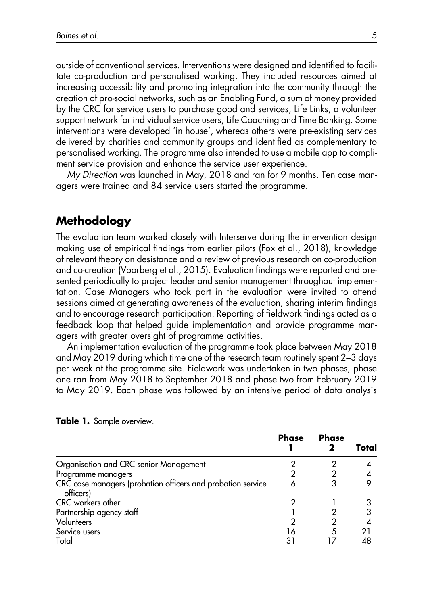outside of conventional services. Interventions were designed and identified to facilitate co-production and personalised working. They included resources aimed at increasing accessibility and promoting integration into the community through the creation of pro-social networks, such as an Enabling Fund, a sum of money provided by the CRC for service users to purchase good and services, Life Links, a volunteer support network for individual service users, Life Coaching and Time Banking. Some interventions were developed 'in house', whereas others were pre-existing services delivered by charities and community groups and identified as complementary to personalised working. The programme also intended to use a mobile app to compliment service provision and enhance the service user experience.

My Direction was launched in May, 2018 and ran for 9 months. Ten case managers were trained and 84 service users started the programme.

### Methodology

The evaluation team worked closely with Interserve during the intervention design making use of empirical findings from earlier pilots (Fox et al., 2018), knowledge of relevant theory on desistance and a review of previous research on co-production and co-creation (Voorberg et al., 2015). Evaluation findings were reported and presented periodically to project leader and senior management throughout implementation. Case Managers who took part in the evaluation were invited to attend sessions aimed at generating awareness of the evaluation, sharing interim findings and to encourage research participation. Reporting of fieldwork findings acted as a feedback loop that helped guide implementation and provide programme managers with greater oversight of programme activities.

An implementation evaluation of the programme took place between May 2018 and May 2019 during which time one of the research team routinely spent 2–3 days per week at the programme site. Fieldwork was undertaken in two phases, phase one ran from May 2018 to September 2018 and phase two from February 2019 to May 2019. Each phase was followed by an intensive period of data analysis

|                                                                          | <b>Phase</b> | <b>Phase</b> | Total |
|--------------------------------------------------------------------------|--------------|--------------|-------|
| Organisation and CRC senior Management                                   |              |              |       |
| Programme managers                                                       |              |              |       |
| CRC case managers (probation officers and probation service<br>officers) |              |              |       |
| CRC workers other                                                        |              |              |       |
| Partnership agency staff                                                 |              |              | 3     |
| Volunteers                                                               |              |              |       |
| Service users                                                            | 16           | 5            |       |
| Total                                                                    | 31           |              | 48    |

|  |  |  | Table 1. Sample overview. |
|--|--|--|---------------------------|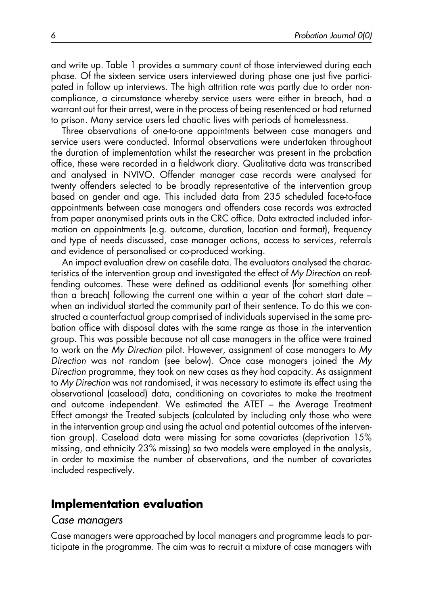and write up. Table 1 provides a summary count of those interviewed during each phase. Of the sixteen service users interviewed during phase one just five participated in follow up interviews. The high attrition rate was partly due to order noncompliance, a circumstance whereby service users were either in breach, had a warrant out for their arrest, were in the process of being resentenced or had returned to prison. Many service users led chaotic lives with periods of homelessness.

Three observations of one-to-one appointments between case managers and service users were conducted. Informal observations were undertaken throughout the duration of implementation whilst the researcher was present in the probation office, these were recorded in a fieldwork diary. Qualitative data was transcribed and analysed in NVIVO. Offender manager case records were analysed for twenty offenders selected to be broadly representative of the intervention group based on gender and age. This included data from 235 scheduled face-to-face appointments between case managers and offenders case records was extracted from paper anonymised prints outs in the CRC office. Data extracted included information on appointments (e.g. outcome, duration, location and format), frequency and type of needs discussed, case manager actions, access to services, referrals and evidence of personalised or co-produced working.

An impact evaluation drew on casefile data. The evaluators analysed the characteristics of the intervention group and investigated the effect of My Direction on reoffending outcomes. These were defined as additional events (for something other than a breach) following the current one within a year of the cohort start date – when an individual started the community part of their sentence. To do this we constructed a counterfactual group comprised of individuals supervised in the same probation office with disposal dates with the same range as those in the intervention group. This was possible because not all case managers in the office were trained to work on the My Direction pilot. However, assignment of case managers to My Direction was not random (see below). Once case managers joined the My Direction programme, they took on new cases as they had capacity. As assignment to My Direction was not randomised, it was necessary to estimate its effect using the observational (caseload) data, conditioning on covariates to make the treatment and outcome independent. We estimated the ATET – the Average Treatment Effect amongst the Treated subjects (calculated by including only those who were in the intervention group and using the actual and potential outcomes of the intervention group). Caseload data were missing for some covariates (deprivation 15% missing, and ethnicity 23% missing) so two models were employed in the analysis, in order to maximise the number of observations, and the number of covariates included respectively.

# Implementation evaluation

#### Case managers

Case managers were approached by local managers and programme leads to participate in the programme. The aim was to recruit a mixture of case managers with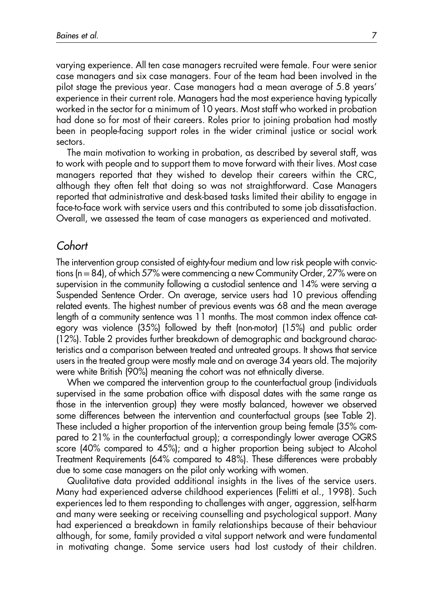varying experience. All ten case managers recruited were female. Four were senior case managers and six case managers. Four of the team had been involved in the pilot stage the previous year. Case managers had a mean average of 5.8 years' experience in their current role. Managers had the most experience having typically worked in the sector for a minimum of 10 years. Most staff who worked in probation had done so for most of their careers. Roles prior to joining probation had mostly been in people-facing support roles in the wider criminal justice or social work sectors.

The main motivation to working in probation, as described by several staff, was to work with people and to support them to move forward with their lives. Most case managers reported that they wished to develop their careers within the CRC, although they often felt that doing so was not straightforward. Case Managers reported that administrative and desk-based tasks limited their ability to engage in face-to-face work with service users and this contributed to some job dissatisfaction. Overall, we assessed the team of case managers as experienced and motivated.

### **Cohort**

The intervention group consisted of eighty-four medium and low risk people with convictions (n=84), of which 57% were commencing a new Community Order, 27% were on supervision in the community following a custodial sentence and 14% were serving a Suspended Sentence Order. On average, service users had 10 previous offending related events. The highest number of previous events was 68 and the mean average length of a community sentence was 11 months. The most common index offence category was violence (35%) followed by theft (non-motor) (15%) and public order (12%). Table 2 provides further breakdown of demographic and background characteristics and a comparison between treated and untreated groups. It shows that service users in the treated group were mostly male and on average 34 years old. The majority were white British (90%) meaning the cohort was not ethnically diverse.

When we compared the intervention group to the counterfactual group (individuals supervised in the same probation office with disposal dates with the same range as those in the intervention group) they were mostly balanced, however we observed some differences between the intervention and counterfactual groups (see Table 2). These included a higher proportion of the intervention group being female (35% compared to 21% in the counterfactual group); a correspondingly lower average OGRS score (40% compared to 45%); and a higher proportion being subject to Alcohol Treatment Requirements (64% compared to 48%). These differences were probably due to some case managers on the pilot only working with women.

Qualitative data provided additional insights in the lives of the service users. Many had experienced adverse childhood experiences (Felitti et al., 1998). Such experiences led to them responding to challenges with anger, aggression, self-harm and many were seeking or receiving counselling and psychological support. Many had experienced a breakdown in family relationships because of their behaviour although, for some, family provided a vital support network and were fundamental in motivating change. Some service users had lost custody of their children.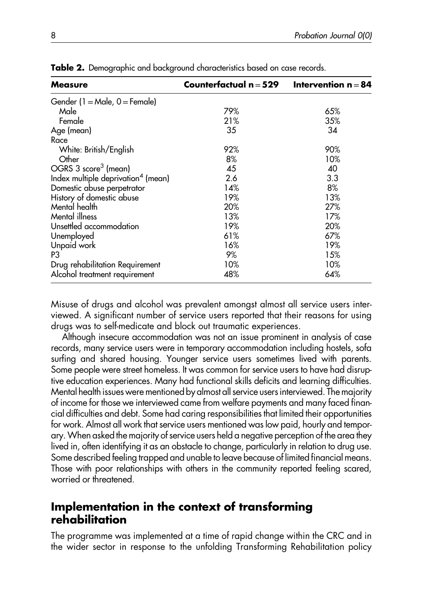| <b>Measure</b>                                 | Counterfactual $n = 529$ | Intervention $n = 84$ |
|------------------------------------------------|--------------------------|-----------------------|
| Gender (1 = Male, $0$ = Female)                |                          |                       |
| Male                                           | 79%                      | 65%                   |
| Female                                         | 21%                      | 35%                   |
| Age (mean)                                     | 35                       | 34                    |
| Race                                           |                          |                       |
| White: British/English                         | 92%                      | 90%                   |
| Other                                          | 8%                       | 10%                   |
| OGRS 3 score <sup>3</sup> (mean)               | 45                       | 40                    |
| Index multiple deprivation <sup>4</sup> (mean) | 2.6                      | 3.3                   |
| Domestic abuse perpetrator                     | 14%                      | 8%                    |
| History of domestic abuse                      | 19%                      | 13%                   |
| Mental health                                  | 20%                      | 27%                   |
| Mental illness                                 | 13%                      | 17%                   |
| Unsettled accommodation                        | 19%                      | 20%                   |
| Unemployed                                     | 61%                      | 67%                   |
| Unpaid work                                    | 16%                      | 19%                   |
| P3                                             | 9%                       | 15%                   |
| Drug rehabilitation Requirement                | 10%                      | 10%                   |
| Alcohol treatment requirement                  | 48%                      | 64%                   |

**Table 2.** Demographic and background characteristics based on case records.

Misuse of drugs and alcohol was prevalent amongst almost all service users interviewed. A significant number of service users reported that their reasons for using drugs was to self-medicate and block out traumatic experiences.

Although insecure accommodation was not an issue prominent in analysis of case records, many service users were in temporary accommodation including hostels, sofa surfing and shared housing. Younger service users sometimes lived with parents. Some people were street homeless. It was common for service users to have had disruptive education experiences. Many had functional skills deficits and learning difficulties. Mental health issues were mentioned by almost all service users interviewed. The majority of income for those we interviewed came from welfare payments and many faced financial difficulties and debt. Some had caring responsibilities that limited their opportunities for work. Almost all work that service users mentioned was low paid, hourly and temporary.When asked the majority of service users held a negative perception of the area they lived in, often identifying it as an obstacle to change, particularly in relation to drug use. Some described feeling trapped and unable to leave because of limited financial means. Those with poor relationships with others in the community reported feeling scared, worried or threatened.

## Implementation in the context of transforming rehabilitation

The programme was implemented at a time of rapid change within the CRC and in the wider sector in response to the unfolding Transforming Rehabilitation policy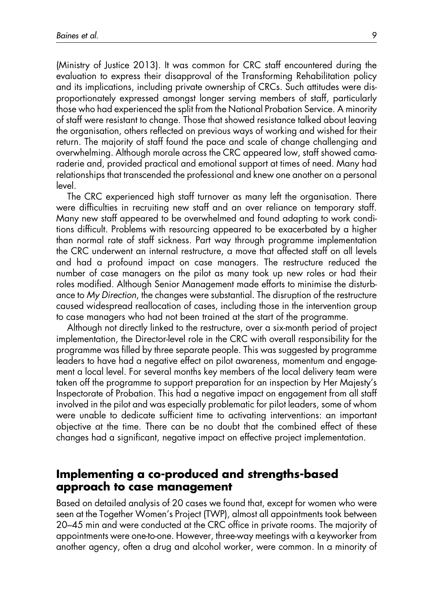(Ministry of Justice 2013). It was common for CRC staff encountered during the evaluation to express their disapproval of the Transforming Rehabilitation policy and its implications, including private ownership of CRCs. Such attitudes were disproportionately expressed amongst longer serving members of staff, particularly those who had experienced the split from the National Probation Service. A minority of staff were resistant to change. Those that showed resistance talked about leaving the organisation, others reflected on previous ways of working and wished for their return. The majority of staff found the pace and scale of change challenging and overwhelming. Although morale across the CRC appeared low, staff showed camaraderie and, provided practical and emotional support at times of need. Many had relationships that transcended the professional and knew one another on a personal level.

The CRC experienced high staff turnover as many left the organisation. There were difficulties in recruiting new staff and an over reliance on temporary staff. Many new staff appeared to be overwhelmed and found adapting to work conditions difficult. Problems with resourcing appeared to be exacerbated by a higher than normal rate of staff sickness. Part way through programme implementation the CRC underwent an internal restructure, a move that affected staff on all levels and had a profound impact on case managers. The restructure reduced the number of case managers on the pilot as many took up new roles or had their roles modified. Although Senior Management made efforts to minimise the disturbance to My Direction, the changes were substantial. The disruption of the restructure caused widespread reallocation of cases, including those in the intervention group to case managers who had not been trained at the start of the programme.

Although not directly linked to the restructure, over a six-month period of project implementation, the Director-level role in the CRC with overall responsibility for the programme was filled by three separate people. This was suggested by programme leaders to have had a negative effect on pilot awareness, momentum and engagement a local level. For several months key members of the local delivery team were taken off the programme to support preparation for an inspection by Her Majesty's Inspectorate of Probation. This had a negative impact on engagement from all staff involved in the pilot and was especially problematic for pilot leaders, some of whom were unable to dedicate sufficient time to activating interventions: an important objective at the time. There can be no doubt that the combined effect of these changes had a significant, negative impact on effective project implementation.

## Implementing a co-produced and strengths-based approach to case management

Based on detailed analysis of 20 cases we found that, except for women who were seen at the Together Women's Project (TWP), almost all appointments took between 20–45 min and were conducted at the CRC office in private rooms. The majority of appointments were one-to-one. However, three-way meetings with a keyworker from another agency, often a drug and alcohol worker, were common. In a minority of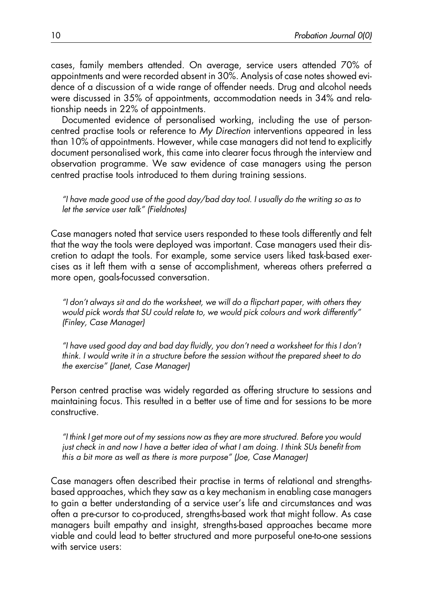cases, family members attended. On average, service users attended 70% of appointments and were recorded absent in 30%. Analysis of case notes showed evidence of a discussion of a wide range of offender needs. Drug and alcohol needs were discussed in 35% of appointments, accommodation needs in 34% and relationship needs in 22% of appointments.

Documented evidence of personalised working, including the use of personcentred practise tools or reference to My Direction interventions appeared in less than 10% of appointments. However, while case managers did not tend to explicitly document personalised work, this came into clearer focus through the interview and observation programme. We saw evidence of case managers using the person centred practise tools introduced to them during training sessions.

"I have made good use of the good day/bad day tool. I usually do the writing so as to let the service user talk" (Fieldnotes)

Case managers noted that service users responded to these tools differently and felt that the way the tools were deployed was important. Case managers used their discretion to adapt the tools. For example, some service users liked task-based exercises as it left them with a sense of accomplishment, whereas others preferred a more open, goals-focussed conversation.

"I don't always sit and do the worksheet, we will do a flipchart paper, with others they would pick words that SU could relate to, we would pick colours and work differently" (Finley, Case Manager)

"I have used good day and bad day fluidly, you don't need a worksheet for this I don't think. I would write it in a structure before the session without the prepared sheet to do the exercise" (Janet, Case Manager)

Person centred practise was widely regarded as offering structure to sessions and maintaining focus. This resulted in a better use of time and for sessions to be more constructive.

"I think I get more out of my sessions now as they are more structured. Before you would just check in and now I have a better idea of what I am doing. I think SUs benefit from this a bit more as well as there is more purpose" (Joe, Case Manager)

Case managers often described their practise in terms of relational and strengthsbased approaches, which they saw as a key mechanism in enabling case managers to gain a better understanding of a service user's life and circumstances and was often a pre-cursor to co-produced, strengths-based work that might follow. As case managers built empathy and insight, strengths-based approaches became more viable and could lead to better structured and more purposeful one-to-one sessions with service users: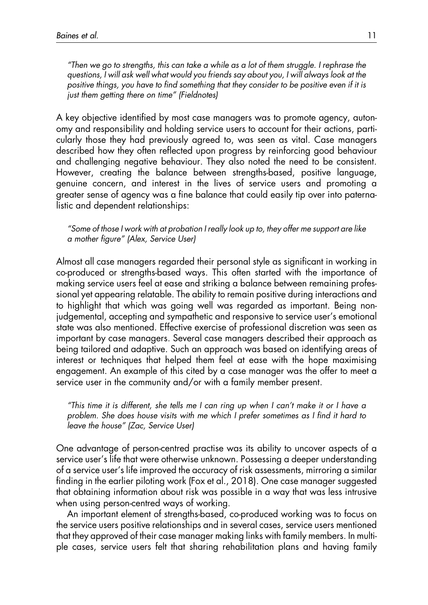"Then we go to strengths, this can take a while as a lot of them struggle. I rephrase the questions, I will ask well what would you friends say about you, I will always look at the positive things, you have to find something that they consider to be positive even if it is just them getting there on time" (Fieldnotes)

A key objective identified by most case managers was to promote agency, autonomy and responsibility and holding service users to account for their actions, particularly those they had previously agreed to, was seen as vital. Case managers described how they often reflected upon progress by reinforcing good behaviour and challenging negative behaviour. They also noted the need to be consistent. However, creating the balance between strengths-based, positive language, genuine concern, and interest in the lives of service users and promoting a greater sense of agency was a fine balance that could easily tip over into paternalistic and dependent relationships:

"Some of those I work with at probation I really look up to, they offer me support are like a mother figure" (Alex, Service User)

Almost all case managers regarded their personal style as significant in working in co-produced or strengths-based ways. This often started with the importance of making service users feel at ease and striking a balance between remaining professional yet appearing relatable. The ability to remain positive during interactions and to highlight that which was going well was regarded as important. Being nonjudgemental, accepting and sympathetic and responsive to service user's emotional state was also mentioned. Effective exercise of professional discretion was seen as important by case managers. Several case managers described their approach as being tailored and adaptive. Such an approach was based on identifying areas of interest or techniques that helped them feel at ease with the hope maximising engagement. An example of this cited by a case manager was the offer to meet a service user in the community and/or with a family member present.

"This time it is different, she tells me I can ring up when I can't make it or I have a problem. She does house visits with me which I prefer sometimes as I find it hard to leave the house" (Zac, Service User)

One advantage of person-centred practise was its ability to uncover aspects of a service user's life that were otherwise unknown. Possessing a deeper understanding of a service user's life improved the accuracy of risk assessments, mirroring a similar finding in the earlier piloting work (Fox et al., 2018). One case manager suggested that obtaining information about risk was possible in a way that was less intrusive when using person-centred ways of working.

An important element of strengths-based, co-produced working was to focus on the service users positive relationships and in several cases, service users mentioned that they approved of their case manager making links with family members. In multiple cases, service users felt that sharing rehabilitation plans and having family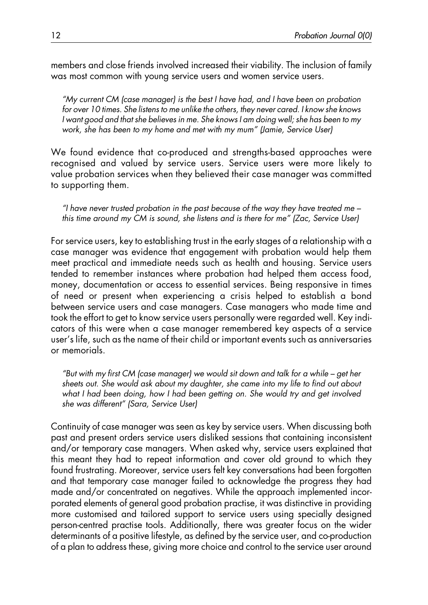members and close friends involved increased their viability. The inclusion of family was most common with young service users and women service users.

"My current CM (case manager) is the best I have had, and I have been on probation for over 10 times. She listens to me unlike the others, they never cared. I know she knows I want good and that she believes in me. She knows I am doing well; she has been to my work, she has been to my home and met with my mum" (Jamie, Service User)

We found evidence that co-produced and strengths-based approaches were recognised and valued by service users. Service users were more likely to value probation services when they believed their case manager was committed to supporting them.

"I have never trusted probation in the past because of the way they have treated me  $$ this time around my CM is sound, she listens and is there for me" (Zac, Service User)

For service users, key to establishing trust in the early stages of a relationship with a case manager was evidence that engagement with probation would help them meet practical and immediate needs such as health and housing. Service users tended to remember instances where probation had helped them access food, money, documentation or access to essential services. Being responsive in times of need or present when experiencing a crisis helped to establish a bond between service users and case managers. Case managers who made time and took the effort to get to know service users personally were regarded well. Key indicators of this were when a case manager remembered key aspects of a service user's life, such as the name of their child or important events such as anniversaries or memorials.

"But with my first CM (case manager) we would sit down and talk for a while – get her sheets out. She would ask about my daughter, she came into my life to find out about what I had been doing, how I had been getting on. She would try and get involved she was different" (Sara, Service User)

Continuity of case manager was seen as key by service users. When discussing both past and present orders service users disliked sessions that containing inconsistent and/or temporary case managers. When asked why, service users explained that this meant they had to repeat information and cover old ground to which they found frustrating. Moreover, service users felt key conversations had been forgotten and that temporary case manager failed to acknowledge the progress they had made and/or concentrated on negatives. While the approach implemented incorporated elements of general good probation practise, it was distinctive in providing more customised and tailored support to service users using specially designed person-centred practise tools. Additionally, there was greater focus on the wider determinants of a positive lifestyle, as defined by the service user, and co-production of a plan to address these, giving more choice and control to the service user around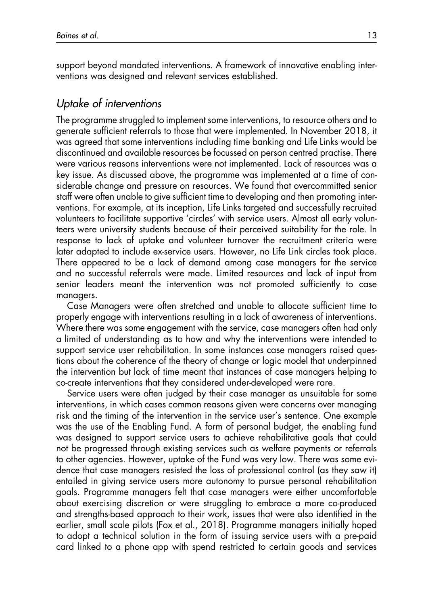support beyond mandated interventions. A framework of innovative enabling interventions was designed and relevant services established.

### Uptake of interventions

The programme struggled to implement some interventions, to resource others and to generate sufficient referrals to those that were implemented. In November 2018, it was agreed that some interventions including time banking and Life Links would be discontinued and available resources be focussed on person centred practise. There were various reasons interventions were not implemented. Lack of resources was a key issue. As discussed above, the programme was implemented at a time of considerable change and pressure on resources. We found that overcommitted senior staff were often unable to give sufficient time to developing and then promoting interventions. For example, at its inception, Life Links targeted and successfully recruited volunteers to facilitate supportive 'circles' with service users. Almost all early volunteers were university students because of their perceived suitability for the role. In response to lack of uptake and volunteer turnover the recruitment criteria were later adapted to include ex-service users. However, no Life Link circles took place. There appeared to be a lack of demand among case managers for the service and no successful referrals were made. Limited resources and lack of input from senior leaders meant the intervention was not promoted sufficiently to case managers.

Case Managers were often stretched and unable to allocate sufficient time to properly engage with interventions resulting in a lack of awareness of interventions. Where there was some engagement with the service, case managers often had only a limited of understanding as to how and why the interventions were intended to support service user rehabilitation. In some instances case managers raised questions about the coherence of the theory of change or logic model that underpinned the intervention but lack of time meant that instances of case managers helping to co-create interventions that they considered under-developed were rare.

Service users were often judged by their case manager as unsuitable for some interventions, in which cases common reasons given were concerns over managing risk and the timing of the intervention in the service user's sentence. One example was the use of the Enabling Fund. A form of personal budget, the enabling fund was designed to support service users to achieve rehabilitative goals that could not be progressed through existing services such as welfare payments or referrals to other agencies. However, uptake of the Fund was very low. There was some evidence that case managers resisted the loss of professional control (as they saw it) entailed in giving service users more autonomy to pursue personal rehabilitation goals. Programme managers felt that case managers were either uncomfortable about exercising discretion or were struggling to embrace a more co-produced and strengths-based approach to their work, issues that were also identified in the earlier, small scale pilots (Fox et al., 2018). Programme managers initially hoped to adopt a technical solution in the form of issuing service users with a pre-paid card linked to a phone app with spend restricted to certain goods and services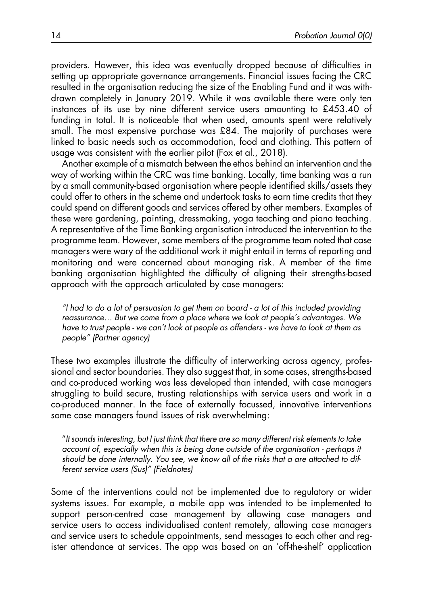providers. However, this idea was eventually dropped because of difficulties in setting up appropriate governance arrangements. Financial issues facing the CRC resulted in the organisation reducing the size of the Enabling Fund and it was withdrawn completely in January 2019. While it was available there were only ten instances of its use by nine different service users amounting to £453.40 of funding in total. It is noticeable that when used, amounts spent were relatively small. The most expensive purchase was £84. The majority of purchases were linked to basic needs such as accommodation, food and clothing. This pattern of usage was consistent with the earlier pilot (Fox et al., 2018).

Another example of a mismatch between the ethos behind an intervention and the way of working within the CRC was time banking. Locally, time banking was a run by a small community-based organisation where people identified skills/assets they could offer to others in the scheme and undertook tasks to earn time credits that they could spend on different goods and services offered by other members. Examples of these were gardening, painting, dressmaking, yoga teaching and piano teaching. A representative of the Time Banking organisation introduced the intervention to the programme team. However, some members of the programme team noted that case managers were wary of the additional work it might entail in terms of reporting and monitoring and were concerned about managing risk. A member of the time banking organisation highlighted the difficulty of aligning their strengths-based approach with the approach articulated by case managers:

"I had to do a lot of persuasion to get them on board - a lot of this included providing reassurance… But we come from a place where we look at people's advantages. We have to trust people - we can't look at people as offenders - we have to look at them as people" (Partner agency)

These two examples illustrate the difficulty of interworking across agency, professional and sector boundaries. They also suggest that, in some cases, strengths-based and co-produced working was less developed than intended, with case managers struggling to build secure, trusting relationships with service users and work in a co-produced manner. In the face of externally focussed, innovative interventions some case managers found issues of risk overwhelming:

"It sounds interesting, but I just think that there are so many different risk elements to take account of, especially when this is being done outside of the organisation - perhaps it should be done internally. You see, we know all of the risks that a are attached to different service users (Sus)" (Fieldnotes)

Some of the interventions could not be implemented due to regulatory or wider systems issues. For example, a mobile app was intended to be implemented to support person-centred case management by allowing case managers and service users to access individualised content remotely, allowing case managers and service users to schedule appointments, send messages to each other and register attendance at services. The app was based on an 'off-the-shelf' application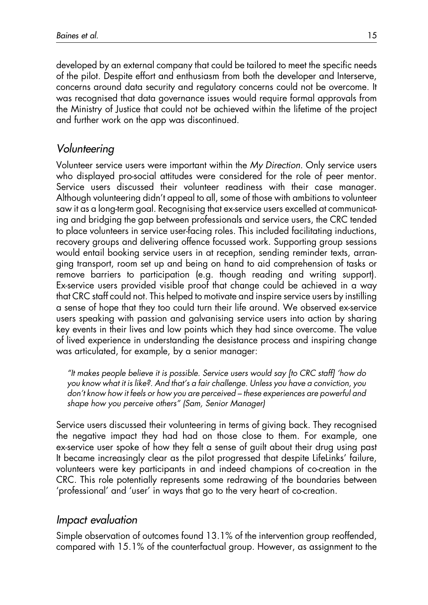developed by an external company that could be tailored to meet the specific needs of the pilot. Despite effort and enthusiasm from both the developer and Interserve, concerns around data security and regulatory concerns could not be overcome. It was recognised that data governance issues would require formal approvals from the Ministry of Justice that could not be achieved within the lifetime of the project and further work on the app was discontinued.

# Volunteering

Volunteer service users were important within the My Direction. Only service users who displayed pro-social attitudes were considered for the role of peer mentor. Service users discussed their volunteer readiness with their case manager. Although volunteering didn't appeal to all, some of those with ambitions to volunteer saw it as a long-term goal. Recognising that ex-service users excelled at communicating and bridging the gap between professionals and service users, the CRC tended to place volunteers in service user-facing roles. This included facilitating inductions, recovery groups and delivering offence focussed work. Supporting group sessions would entail booking service users in at reception, sending reminder texts, arranging transport, room set up and being on hand to aid comprehension of tasks or remove barriers to participation (e.g. though reading and writing support). Ex-service users provided visible proof that change could be achieved in a way that CRC staff could not. This helped to motivate and inspire service users by instilling a sense of hope that they too could turn their life around. We observed ex-service users speaking with passion and galvanising service users into action by sharing key events in their lives and low points which they had since overcome. The value of lived experience in understanding the desistance process and inspiring change was articulated, for example, by a senior manager:

"It makes people believe it is possible. Service users would say [to CRC staff] 'how do you know what it is like?. And that's a fair challenge. Unless you have a conviction, you don't know how it feels or how you are perceived – these experiences are powerful and shape how you perceive others" (Sam, Senior Manager)

Service users discussed their volunteering in terms of giving back. They recognised the negative impact they had had on those close to them. For example, one ex-service user spoke of how they felt a sense of guilt about their drug using past It became increasingly clear as the pilot progressed that despite LifeLinks' failure, volunteers were key participants in and indeed champions of co-creation in the CRC. This role potentially represents some redrawing of the boundaries between 'professional' and 'user' in ways that go to the very heart of co-creation.

# Impact evaluation

Simple observation of outcomes found 13.1% of the intervention group reoffended, compared with 15.1% of the counterfactual group. However, as assignment to the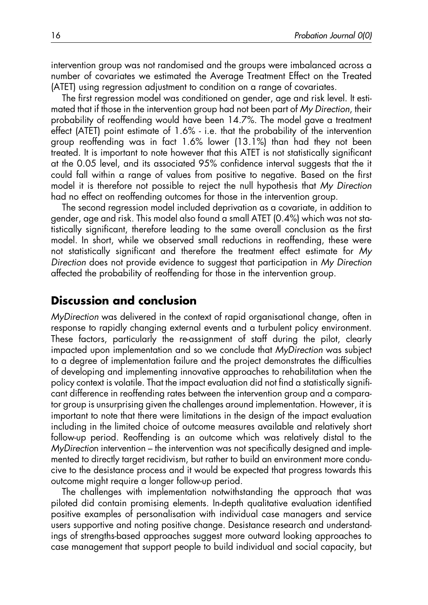intervention group was not randomised and the groups were imbalanced across a number of covariates we estimated the Average Treatment Effect on the Treated (ATET) using regression adjustment to condition on a range of covariates.

The first regression model was conditioned on gender, age and risk level. It estimated that if those in the intervention group had not been part of My Direction, their probability of reoffending would have been 14.7%. The model gave a treatment effect (ATET) point estimate of 1.6% - i.e. that the probability of the intervention group reoffending was in fact 1.6% lower (13.1%) than had they not been treated. It is important to note however that this ATET is not statistically significant at the 0.05 level, and its associated 95% confidence interval suggests that the it could fall within a range of values from positive to negative. Based on the first model it is therefore not possible to reject the null hypothesis that My Direction had no effect on reoffending outcomes for those in the intervention group.

The second regression model included deprivation as a covariate, in addition to gender, age and risk. This model also found a small ATET (0.4%) which was not statistically significant, therefore leading to the same overall conclusion as the first model. In short, while we observed small reductions in reoffending, these were not statistically significant and therefore the treatment effect estimate for My Direction does not provide evidence to suggest that participation in My Direction affected the probability of reoffending for those in the intervention group.

### Discussion and conclusion

MyDirection was delivered in the context of rapid organisational change, often in response to rapidly changing external events and a turbulent policy environment. These factors, particularly the re-assignment of staff during the pilot, clearly impacted upon implementation and so we conclude that MyDirection was subject to a degree of implementation failure and the project demonstrates the difficulties of developing and implementing innovative approaches to rehabilitation when the policy context is volatile. That the impact evaluation did not find a statistically significant difference in reoffending rates between the intervention group and a comparator group is unsurprising given the challenges around implementation. However, it is important to note that there were limitations in the design of the impact evaluation including in the limited choice of outcome measures available and relatively short follow-up period. Reoffending is an outcome which was relatively distal to the MyDirection intervention – the intervention was not specifically designed and implemented to directly target recidivism, but rather to build an environment more conducive to the desistance process and it would be expected that progress towards this outcome might require a longer follow-up period.

The challenges with implementation notwithstanding the approach that was piloted did contain promising elements. In-depth qualitative evaluation identified positive examples of personalisation with individual case managers and service users supportive and noting positive change. Desistance research and understandings of strengths-based approaches suggest more outward looking approaches to case management that support people to build individual and social capacity, but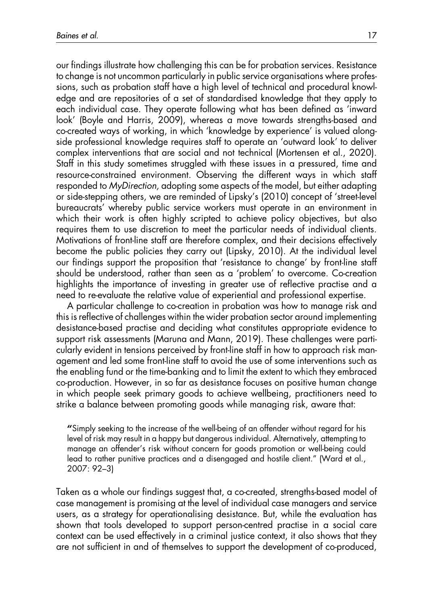our findings illustrate how challenging this can be for probation services. Resistance to change is not uncommon particularly in public service organisations where professions, such as probation staff have a high level of technical and procedural knowledge and are repositories of a set of standardised knowledge that they apply to each individual case. They operate following what has been defined as 'inward look' (Boyle and Harris, 2009), whereas a move towards strengths-based and co-created ways of working, in which 'knowledge by experience' is valued alongside professional knowledge requires staff to operate an 'outward look' to deliver complex interventions that are social and not technical (Mortensen et al., 2020). Staff in this study sometimes struggled with these issues in a pressured, time and resource-constrained environment. Observing the different ways in which staff responded to MyDirection, adopting some aspects of the model, but either adapting or side-stepping others, we are reminded of Lipsky's (2010) concept of 'street-level bureaucrats' whereby public service workers must operate in an environment in which their work is often highly scripted to achieve policy objectives, but also requires them to use discretion to meet the particular needs of individual clients. Motivations of front-line staff are therefore complex, and their decisions effectively become the public policies they carry out (Lipsky, 2010). At the individual level our findings support the proposition that 'resistance to change' by front-line staff should be understood, rather than seen as a 'problem' to overcome. Co-creation highlights the importance of investing in greater use of reflective practise and a need to re-evaluate the relative value of experiential and professional expertise.

A particular challenge to co-creation in probation was how to manage risk and this is reflective of challenges within the wider probation sector around implementing desistance-based practise and deciding what constitutes appropriate evidence to support risk assessments (Maruna and Mann, 2019). These challenges were particularly evident in tensions perceived by front-line staff in how to approach risk management and led some front-line staff to avoid the use of some interventions such as the enabling fund or the time-banking and to limit the extent to which they embraced co-production. However, in so far as desistance focuses on positive human change in which people seek primary goods to achieve wellbeing, practitioners need to strike a balance between promoting goods while managing risk, aware that:

"Simply seeking to the increase of the well-being of an offender without regard for his level of risk may result in a happy but dangerous individual. Alternatively, attempting to manage an offender's risk without concern for goods promotion or well-being could lead to rather punitive practices and a disengaged and hostile client." (Ward et al., 2007: 92–3)

Taken as a whole our findings suggest that, a co-created, strengths-based model of case management is promising at the level of individual case managers and service users, as a strategy for operationalising desistance. But, while the evaluation has shown that tools developed to support person-centred practise in a social care context can be used effectively in a criminal justice context, it also shows that they are not sufficient in and of themselves to support the development of co-produced,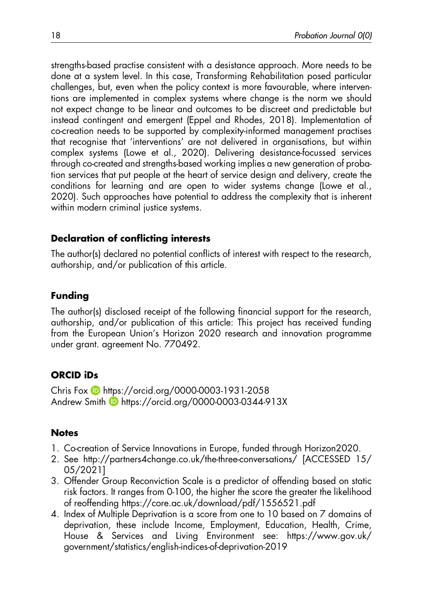strengths-based practise consistent with a desistance approach. More needs to be done at a system level. In this case, Transforming Rehabilitation posed particular challenges, but, even when the policy context is more favourable, where interventions are implemented in complex systems where change is the norm we should not expect change to be linear and outcomes to be discreet and predictable but instead contingent and emergent (Eppel and Rhodes, 2018). Implementation of co-creation needs to be supported by complexity-informed management practises that recognise that 'interventions' are not delivered in organisations, but within complex systems (Lowe et al., 2020). Delivering desistance-focussed services through co-created and strengths-based working implies a new generation of probation services that put people at the heart of service design and delivery, create the conditions for learning and are open to wider systems change (Lowe et al., 2020). Such approaches have potential to address the complexity that is inherent within modern criminal justice systems.

### Declaration of conflicting interests

The author(s) declared no potential conflicts of interest with respect to the research, authorship, and/or publication of this article.

### Funding

The author(s) disclosed receipt of the following financial support for the research, authorship, and/or publication of this article: This project has received funding from the European Union's Horizon 2020 research and innovation programme under grant. agreement No. 770492.

### ORCID iDs

Chris Fox **https://orcid.org/0000-0003-1931-2058** Andrew Smith **b** https://orcid.org/0000-0003-0344-913X

### **Notes**

- 1. Co-creation of Service Innovations in Europe, funded through Horizon2020.
- 2. See http://partners4change.co.uk/the-three-conversations/ [ACCESSED 15/ 05/2021]
- 3. Offender Group Reconviction Scale is a predictor of offending based on static risk factors. It ranges from 0-100, the higher the score the greater the likelihood of reoffending https://core.ac.uk/download/pdf/1556521.pdf
- 4. Index of Multiple Deprivation is a score from one to 10 based on 7 domains of deprivation, these include Income, Employment, Education, Health, Crime, House & Services and Living Environment see: https://www.gov.uk/ government/statistics/english-indices-of-deprivation-2019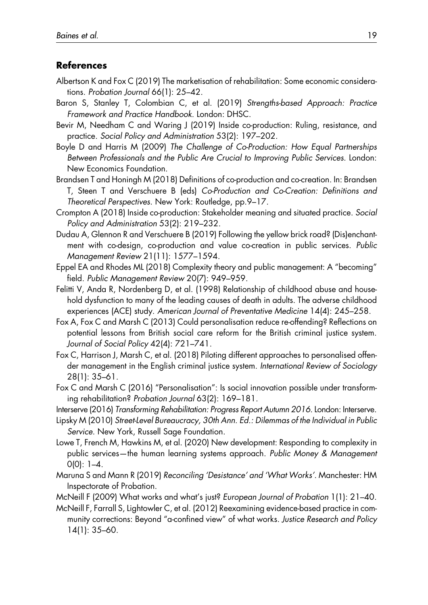#### References

- Albertson K and Fox C (2019) The marketisation of rehabilitation: Some economic considerations. Probation Journal 66(1): 25–42.
- Baron S, Stanley T, Colombian C, et al. (2019) Strengths-based Approach: Practice Framework and Practice Handbook. London: DHSC.
- Bevir M, Needham C and Waring J (2019) Inside co-production: Ruling, resistance, and practice. Social Policy and Administration 53(2): 197–202.
- Boyle D and Harris M (2009) The Challenge of Co-Production: How Equal Partnerships Between Professionals and the Public Are Crucial to Improving Public Services. London: New Economics Foundation.
- Brandsen T and Honingh M (2018) Definitions of co-production and co-creation. In: Brandsen T, Steen T and Verschuere B (eds) Co-Production and Co-Creation: Definitions and Theoretical Perspectives. New York: Routledge, pp.9–17.
- Crompton A (2018) Inside co-production: Stakeholder meaning and situated practice. Social Policy and Administration 53(2): 219–232.
- Dudau A, Glennon R and Verschuere B (2019) Following the yellow brick road? (Dis)enchantment with co-design, co-production and value co-creation in public services. Public Management Review 21(11): 1577–1594.
- Eppel EA and Rhodes ML (2018) Complexity theory and public management: A "becoming" field. Public Management Review 20(7): 949–959.
- Felitti V, Anda R, Nordenberg D, et al. (1998) Relationship of childhood abuse and household dysfunction to many of the leading causes of death in adults. The adverse childhood experiences (ACE) study. American Journal of Preventative Medicine 14(4): 245–258.
- Fox A, Fox C and Marsh C (2013) Could personalisation reduce re-offending? Reflections on potential lessons from British social care reform for the British criminal justice system. Journal of Social Policy 42(4): 721–741.
- Fox C, Harrison J, Marsh C, et al. (2018) Piloting different approaches to personalised offender management in the English criminal justice system. International Review of Sociology 28(1): 35–61.
- Fox C and Marsh C (2016) "Personalisation": Is social innovation possible under transforming rehabilitation? Probation Journal 63(2): 169–181.
- Interserve (2016) Transforming Rehabilitation: Progress Report Autumn 2016. London: Interserve.
- Lipsky M (2010) Street-Level Bureaucracy, 30th Ann. Ed.: Dilemmas of the Individual in Public Service. New York, Russell Sage Foundation.
- Lowe T, French M, Hawkins M, et al. (2020) New development: Responding to complexity in public services—the human learning systems approach. Public Money & Management  $O(0)$ : 1–4.
- Maruna S and Mann R (2019) Reconciling 'Desistance' and 'What Works'. Manchester: HM Inspectorate of Probation.
- McNeill F (2009) What works and what's just? European Journal of Probation 1(1): 21–40.
- McNeill F, Farrall S, Lightowler C, et al. (2012) Reexamining evidence-based practice in community corrections: Beyond "a-confined view" of what works. Justice Research and Policy 14(1): 35–60.